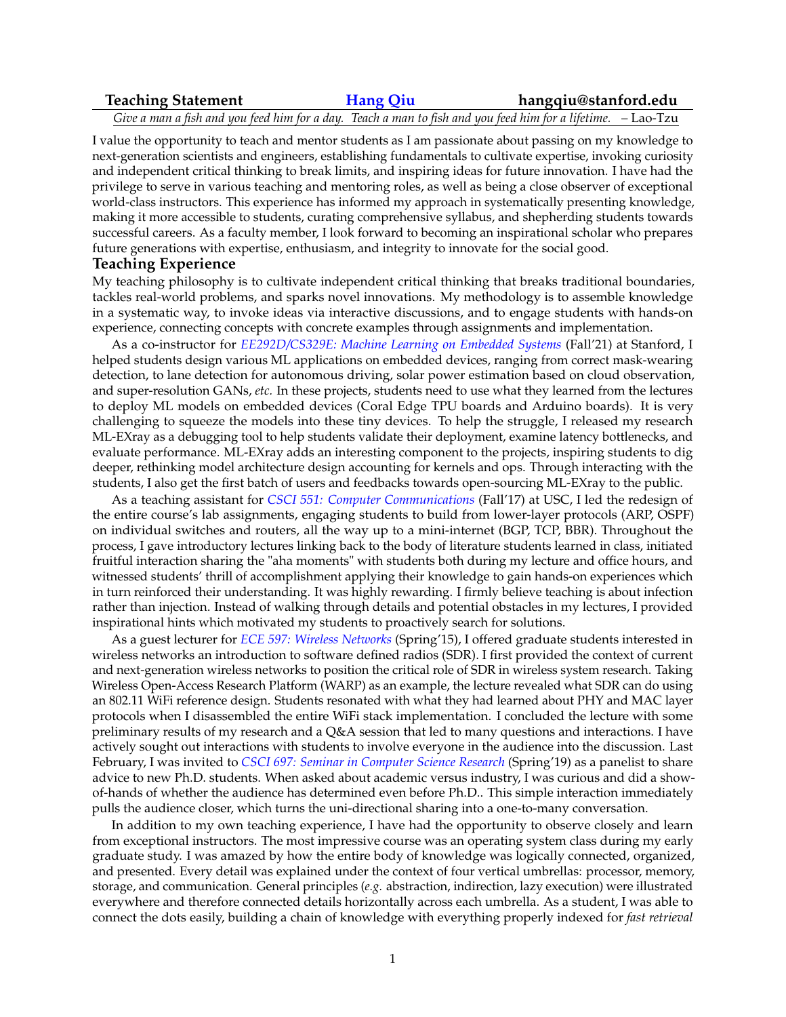## **Teaching Statement [Hang Qiu](https://web.stanford.edu/~hangqiu/) hangqiu@stanford.edu**

*Give a man a fish and you feed him for a day. Teach a man to fish and you feed him for a lifetime.* – Lao-Tzu

I value the opportunity to teach and mentor students as I am passionate about passing on my knowledge to next-generation scientists and engineers, establishing fundamentals to cultivate expertise, invoking curiosity and independent critical thinking to break limits, and inspiring ideas for future innovation. I have had the privilege to serve in various teaching and mentoring roles, as well as being a close observer of exceptional world-class instructors. This experience has informed my approach in systematically presenting knowledge, making it more accessible to students, curating comprehensive syllabus, and shepherding students towards successful careers. As a faculty member, I look forward to becoming an inspirational scholar who prepares future generations with expertise, enthusiasm, and integrity to innovate for the social good.

#### **Teaching Experience**

My teaching philosophy is to cultivate independent critical thinking that breaks traditional boundaries, tackles real-world problems, and sparks novel innovations. My methodology is to assemble knowledge in a systematic way, to invoke ideas via interactive discussions, and to engage students with hands-on experience, connecting concepts with concrete examples through assignments and implementation.

As a co-instructor for *[EE292D/CS329E: Machine Learning on Embedded Systems](https://ee292d.github.io/)* (Fall'21) at Stanford, I helped students design various ML applications on embedded devices, ranging from correct mask-wearing detection, to lane detection for autonomous driving, solar power estimation based on cloud observation, and super-resolution GANs, *etc.* In these projects, students need to use what they learned from the lectures to deploy ML models on embedded devices (Coral Edge TPU boards and Arduino boards). It is very challenging to squeeze the models into these tiny devices. To help the struggle, I released my research ML-EXray as a debugging tool to help students validate their deployment, examine latency bottlenecks, and evaluate performance. ML-EXray adds an interesting component to the projects, inspiring students to dig deeper, rethinking model architecture design accounting for kernels and ops. Through interacting with the students, I also get the first batch of users and feedbacks towards open-sourcing ML-EXray to the public.

As a teaching assistant for *[CSCI 551: Computer Communications](https://classes.usc.edu/term-20173/course/csci-551/)* (Fall'17) at USC, I led the redesign of the entire course's lab assignments, engaging students to build from lower-layer protocols (ARP, OSPF) on individual switches and routers, all the way up to a mini-internet (BGP, TCP, BBR). Throughout the process, I gave introductory lectures linking back to the body of literature students learned in class, initiated fruitful interaction sharing the "aha moments" with students both during my lecture and office hours, and witnessed students' thrill of accomplishment applying their knowledge to gain hands-on experiences which in turn reinforced their understanding. It was highly rewarding. I firmly believe teaching is about infection rather than injection. Instead of walking through details and potential obstacles in my lectures, I provided inspirational hints which motivated my students to proactively search for solutions.

As a guest lecturer for *[ECE 597: Wireless Networks](https://classes.usc.edu/term-20151/course/ee-597/)* (Spring'15), I offered graduate students interested in wireless networks an introduction to software defined radios (SDR). I first provided the context of current and next-generation wireless networks to position the critical role of SDR in wireless system research. Taking Wireless Open-Access Research Platform (WARP) as an example, the lecture revealed what SDR can do using an 802.11 WiFi reference design. Students resonated with what they had learned about PHY and MAC layer protocols when I disassembled the entire WiFi stack implementation. I concluded the lecture with some preliminary results of my research and a Q&A session that led to many questions and interactions. I have actively sought out interactions with students to involve everyone in the audience into the discussion. Last February, I was invited to *[CSCI 697: Seminar in Computer Science Research](https://web-app.usc.edu/ws/soc_archive/soc/term-20191/course/csci-697/)* (Spring'19) as a panelist to share advice to new Ph.D. students. When asked about academic versus industry, I was curious and did a showof-hands of whether the audience has determined even before Ph.D.. This simple interaction immediately pulls the audience closer, which turns the uni-directional sharing into a one-to-many conversation.

In addition to my own teaching experience, I have had the opportunity to observe closely and learn from exceptional instructors. The most impressive course was an operating system class during my early graduate study. I was amazed by how the entire body of knowledge was logically connected, organized, and presented. Every detail was explained under the context of four vertical umbrellas: processor, memory, storage, and communication. General principles (*e.g.* abstraction, indirection, lazy execution) were illustrated everywhere and therefore connected details horizontally across each umbrella. As a student, I was able to connect the dots easily, building a chain of knowledge with everything properly indexed for *fast retrieval*